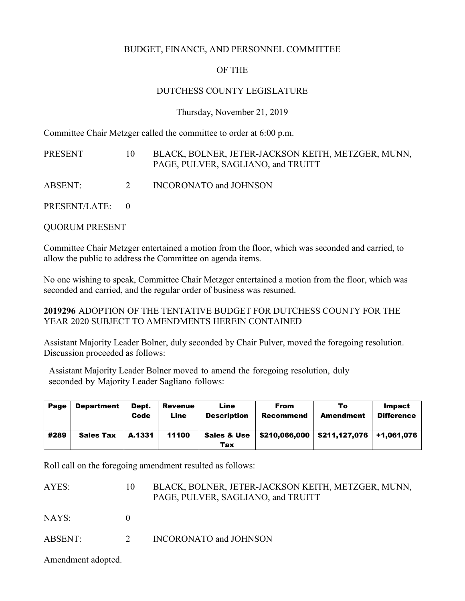## BUDGET, FINANCE, AND PERSONNEL COMMITTEE

## OF THE

#### DUTCHESS COUNTY LEGISLATURE

Thursday, November 21, 2019

Committee Chair Metzger called the committee to order at 6:00 p.m.

| PRESENT         | $10^{\circ}$ | BLACK, BOLNER, JETER-JACKSON KEITH, METZGER, MUNN,<br>PAGE, PULVER, SAGLIANO, and TRUITT |
|-----------------|--------------|------------------------------------------------------------------------------------------|
| ABSENT:         | 2            | INCORONATO and JOHNSON                                                                   |
| PRESENT/LATE: 0 |              |                                                                                          |

QUORUM PRESENT

Committee Chair Metzger entertained a motion from the floor, which was seconded and carried, to allow the public to address the Committee on agenda items.

No one wishing to speak, Committee Chair Metzger entertained a motion from the floor, which was seconded and carried, and the regular order of business was resumed.

**2019296** ADOPTION OF THE TENTATIVE BUDGET FOR DUTCHESS COUNTY FOR THE YEAR 2020 SUBJECT TO AMENDMENTS HEREIN CONTAINED

Assistant Majority Leader Bolner, duly seconded by Chair Pulver, moved the foregoing resolution. Discussion proceeded as follows:

Assistant Majority Leader Bolner moved to amend the foregoing resolution, duly seconded by Majority Leader Sagliano follows:

| Page | <b>Department</b> | Dept.<br>Code | <b>Revenue</b><br>Line | Line<br><b>Description</b>    | <b>From</b><br>Recommend | То<br><b>Amendment</b> | Impact<br><b>Difference</b> |
|------|-------------------|---------------|------------------------|-------------------------------|--------------------------|------------------------|-----------------------------|
| #289 | <b>Sales Tax</b>  | A.1331        | 11100                  | <b>Sales &amp; Use</b><br>Tax | \$210.066.000            | \$211.127.076          | +1.061.076                  |

Roll call on the foregoing amendment resulted as follows:

| AYES:   | 10 | BLACK, BOLNER, JETER-JACKSON KEITH, METZGER, MUNN,<br>PAGE, PULVER, SAGLIANO, and TRUITT |
|---------|----|------------------------------------------------------------------------------------------|
| NAYS:   |    |                                                                                          |
| ABSENT: |    | INCORONATO and JOHNSON                                                                   |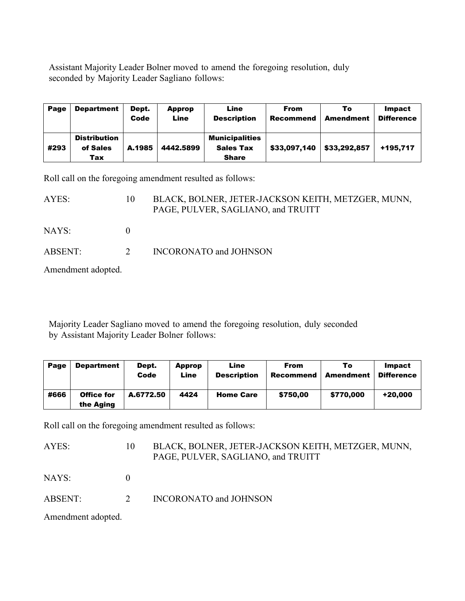Assistant Majority Leader Bolner moved to amend the foregoing resolution, duly seconded by Majority Leader Sagliano follows:

| Page | <b>Department</b>                      | Dept.<br>Code | Approp<br>Line | Line<br><b>Description</b>                                | <b>From</b><br><b>Recommend</b> | To<br><b>Amendment</b> | <b>Impact</b><br><b>Difference</b> |
|------|----------------------------------------|---------------|----------------|-----------------------------------------------------------|---------------------------------|------------------------|------------------------------------|
| #293 | <b>Distribution</b><br>of Sales<br>Tax | A.1985        | 4442.5899      | <b>Municipalities</b><br><b>Sales Tax</b><br><b>Share</b> | \$33.097.140                    | \$33,292,857           | +195.717                           |

Roll call on the foregoing amendment resulted as follows:

| AYES:   | $10^{\circ}$             | BLACK, BOLNER, JETER-JACKSON KEITH, METZGER, MUNN,<br>PAGE, PULVER, SAGLIANO, and TRUITT |
|---------|--------------------------|------------------------------------------------------------------------------------------|
| NAYS: \ |                          |                                                                                          |
| ABSENT: | $\overline{\mathcal{Z}}$ | INCORONATO and JOHNSON                                                                   |

Amendment adopted.

Majority Leader Sagliano moved to amend the foregoing resolution, duly seconded by Assistant Majority Leader Bolner follows:

| Page | <b>Department</b>              | Dept.<br>Code | Approp<br>Line | Line<br><b>Description</b> | <b>From</b><br>Recommend | To<br>Amendment | Impact<br><b>Difference</b> |
|------|--------------------------------|---------------|----------------|----------------------------|--------------------------|-----------------|-----------------------------|
| #666 | <b>Office for</b><br>the Aging | A.6772.50     | 4424           | <b>Home Care</b>           | \$750.00                 | \$770,000       | +20.000                     |

Roll call on the foregoing amendment resulted as follows:

AYES: 10 BLACK, BOLNER, JETER-JACKSON KEITH, METZGER, MUNN, PAGE, PULVER, SAGLIANO, and TRUITT

NAYS: 0

ABSENT: 2 INCORONATO and JOHNSON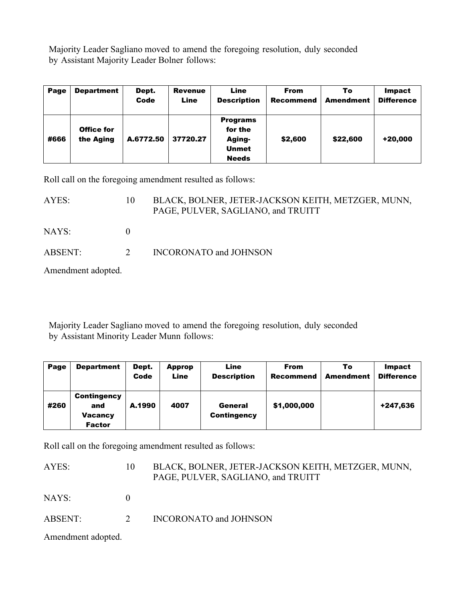Majority Leader Sagliano moved to amend the foregoing resolution, duly seconded by Assistant Majority Leader Bolner follows:

| Page | <b>Department</b>              | Dept.<br>Code | <b>Revenue</b><br>Line | Line<br><b>Description</b>                                           | <b>From</b><br><b>Recommend</b> | То<br><b>Amendment</b> | Impact<br><b>Difference</b> |
|------|--------------------------------|---------------|------------------------|----------------------------------------------------------------------|---------------------------------|------------------------|-----------------------------|
| #666 | <b>Office for</b><br>the Aging | A.6772.50     | 37720.27               | <b>Programs</b><br>for the<br>Aging-<br><b>Unmet</b><br><b>Needs</b> | \$2,600                         | \$22,600               | +20,000                     |

Roll call on the foregoing amendment resulted as follows:

| AYES:   | 10             | BLACK, BOLNER, JETER-JACKSON KEITH, METZGER, MUNN,<br>PAGE, PULVER, SAGLIANO, and TRUITT |
|---------|----------------|------------------------------------------------------------------------------------------|
| NAYS: \ |                |                                                                                          |
| ABSENT: | $\overline{2}$ | INCORONATO and JOHNSON                                                                   |

Amendment adopted.

Majority Leader Sagliano moved to amend the foregoing resolution, duly seconded by Assistant Minority Leader Munn follows:

| Page | <b>Department</b>                                     | Dept.<br>Code | Approp<br>Line | Line<br><b>Description</b>    | From<br><b>Recommend</b> | То<br><b>Amendment</b> | Impact<br><b>Difference</b> |
|------|-------------------------------------------------------|---------------|----------------|-------------------------------|--------------------------|------------------------|-----------------------------|
| #260 | Contingency<br>and<br><b>Vacancy</b><br><b>Factor</b> | A.1990        | 4007           | General<br><b>Contingency</b> | \$1,000,000              |                        | +247,636                    |

Roll call on the foregoing amendment resulted as follows:

AYES: 10 BLACK, BOLNER, JETER-JACKSON KEITH, METZGER, MUNN, PAGE, PULVER, SAGLIANO, and TRUITT

NAYS: 0

ABSENT: 2 INCORONATO and JOHNSON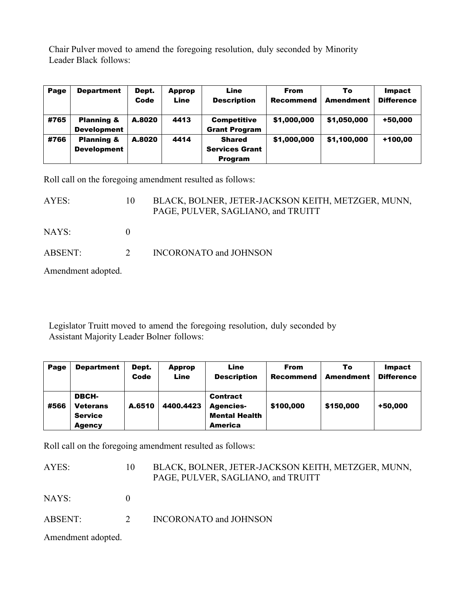Chair Pulver moved to amend the foregoing resolution, duly seconded by Minority Leader Black follows:

| Page | <b>Department</b>                           | Dept.<br>Code | Approp<br>Line | Line<br><b>Description</b>                               | <b>From</b><br><b>Recommend</b> | То<br><b>Amendment</b> | <b>Impact</b><br><b>Difference</b> |
|------|---------------------------------------------|---------------|----------------|----------------------------------------------------------|---------------------------------|------------------------|------------------------------------|
| #765 | <b>Planning &amp;</b><br><b>Development</b> | A.8020        | 4413           | <b>Competitive</b><br><b>Grant Program</b>               | \$1,000,000                     | \$1,050,000            | +50,000                            |
| #766 | <b>Planning &amp;</b><br><b>Development</b> | A.8020        | 4414           | <b>Shared</b><br><b>Services Grant</b><br><b>Program</b> | \$1,000,000                     | \$1,100,000            | +100,00                            |

Roll call on the foregoing amendment resulted as follows:

| AYES:   | 10       | BLACK, BOLNER, JETER-JACKSON KEITH, METZGER, MUNN,<br>PAGE, PULVER, SAGLIANO, and TRUITT |
|---------|----------|------------------------------------------------------------------------------------------|
| NAYS: \ |          |                                                                                          |
| ABSENT: | $\gamma$ | INCORONATO and JOHNSON                                                                   |

Amendment adopted.

Legislator Truitt moved to amend the foregoing resolution, duly seconded by Assistant Majority Leader Bolner follows:

| Page | <b>Department</b>                                           | Dept.<br>Code | Approp<br>Line | Line<br><b>Description</b>                                             | <b>From</b><br><b>Recommend</b> | То<br><b>Amendment</b> | Impact<br><b>Difference</b> |
|------|-------------------------------------------------------------|---------------|----------------|------------------------------------------------------------------------|---------------------------------|------------------------|-----------------------------|
| #566 | DBCH-<br><b>Veterans</b><br><b>Service</b><br><b>Agency</b> | A.6510        | 4400.4423      | Contract<br><b>Agencies-</b><br><b>Mental Health</b><br><b>America</b> | \$100,000                       | \$150,000              | +50,000                     |

Roll call on the foregoing amendment resulted as follows:

AYES: 10 BLACK, BOLNER, JETER-JACKSON KEITH, METZGER, MUNN, PAGE, PULVER, SAGLIANO, and TRUITT

NAYS: 0

ABSENT: 2 INCORONATO and JOHNSON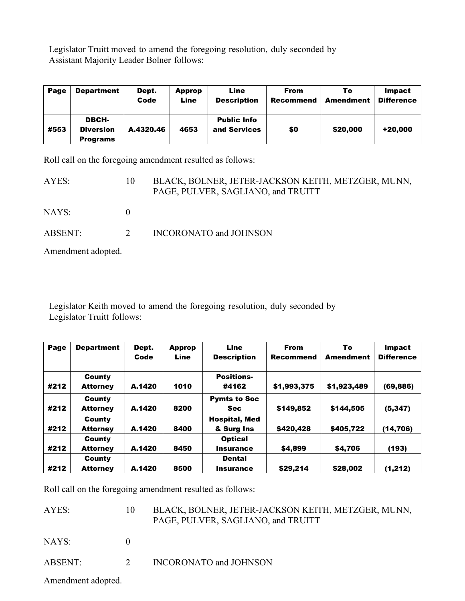Legislator Truitt moved to amend the foregoing resolution, duly seconded by Assistant Majority Leader Bolner follows:

| Page | <b>Department</b>                            | Dept.<br>Code | Approp<br>Line | Line<br><b>Description</b>         | <b>From</b><br>Recommend | То<br><b>Amendment</b> | Impact<br><b>Difference</b> |
|------|----------------------------------------------|---------------|----------------|------------------------------------|--------------------------|------------------------|-----------------------------|
| #553 | DBCH-<br><b>Diversion</b><br><b>Programs</b> | A.4320.46     | 4653           | <b>Public Info</b><br>and Services | \$0                      | \$20,000               | +20,000                     |

Roll call on the foregoing amendment resulted as follows:

| AYES:              | 10             | BLACK, BOLNER, JETER-JACKSON KEITH, METZGER, MUNN,<br>PAGE, PULVER, SAGLIANO, and TRUITT |
|--------------------|----------------|------------------------------------------------------------------------------------------|
| NAYS:              |                |                                                                                          |
| ABSENT:            | 2 <sup>1</sup> | <b>INCORONATO and JOHNSON</b>                                                            |
| Amendment adopted. |                |                                                                                          |

Legislator Keith moved to amend the foregoing resolution, duly seconded by Legislator Truitt follows:

| Page | <b>Department</b> | Dept.  | <b>Approp</b> | Line                 | <b>From</b>      | To          | <b>Impact</b>     |  |
|------|-------------------|--------|---------------|----------------------|------------------|-------------|-------------------|--|
|      |                   | Code   | Line          | <b>Description</b>   | <b>Recommend</b> | Amendment   | <b>Difference</b> |  |
|      | County            |        |               | <b>Positions-</b>    |                  |             |                   |  |
| #212 | <b>Attorney</b>   | A.1420 | 1010          | #4162                | \$1,993,375      | \$1,923,489 | (69, 886)         |  |
|      | County            |        |               | <b>Pymts to Soc</b>  |                  |             |                   |  |
| #212 | <b>Attorney</b>   | A.1420 | 8200          | <b>Sec</b>           | \$149,852        | \$144,505   | (5, 347)          |  |
|      | County            |        |               | <b>Hospital, Med</b> |                  |             |                   |  |
| #212 | <b>Attorney</b>   | A.1420 | 8400          | & Surg Ins           | \$420,428        | \$405,722   | (14,706)          |  |
|      | County            |        |               | <b>Optical</b>       |                  |             |                   |  |
| #212 | <b>Attorney</b>   | A.1420 | 8450          | <b>Insurance</b>     | \$4,899          | \$4,706     | (193)             |  |
|      | County            |        |               | <b>Dental</b>        |                  |             |                   |  |
| #212 | <b>Attorney</b>   | A.1420 | 8500          | Insurance            | \$29,214         | \$28,002    | (1,212)           |  |

Roll call on the foregoing amendment resulted as follows:

| AYES:   | BLACK, BOLNER, JETER-JACKSON KEITH, METZGER, MUNN,<br>PAGE, PULVER, SAGLIANO, and TRUITT |
|---------|------------------------------------------------------------------------------------------|
| NAYS:   |                                                                                          |
| ABSENT: | <b>INCORONATO and JOHNSON</b>                                                            |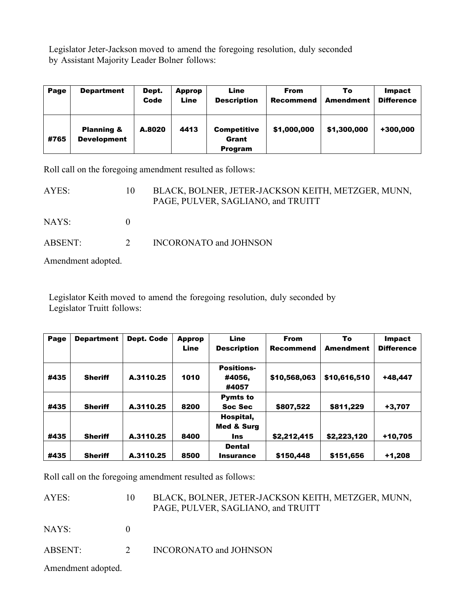Legislator Jeter-Jackson moved to amend the foregoing resolution, duly seconded by Assistant Majority Leader Bolner follows:

| Page | <b>Department</b>                           | Dept.<br>Code | Approp<br>Line | Line<br><b>Description</b>                    | <b>From</b><br><b>Recommend</b> | То<br><b>Amendment</b> | Impact<br><b>Difference</b> |  |
|------|---------------------------------------------|---------------|----------------|-----------------------------------------------|---------------------------------|------------------------|-----------------------------|--|
| #765 | <b>Planning &amp;</b><br><b>Development</b> | A.8020        | 4413           | <b>Competitive</b><br>Grant<br><b>Program</b> | \$1,000,000                     | \$1,300,000            | +300,000                    |  |

Roll call on the foregoing amendment resulted as follows:

| AYES:   | $\mathbf{10}$ | BLACK, BOLNER, JETER-JACKSON KEITH, METZGER, MUNN,<br>PAGE, PULVER, SAGLIANO, and TRUITT |
|---------|---------------|------------------------------------------------------------------------------------------|
| NAYS:   |               |                                                                                          |
| ABSENT: | $\mathcal{P}$ | <b>INCORONATO and JOHNSON</b>                                                            |

Amendment adopted.

Legislator Keith moved to amend the foregoing resolution, duly seconded by Legislator Truitt follows:

| Page | <b>Department</b> | Dept. Code | <b>Approp</b> | Line                                      | <b>From</b>      | To               | Impact            |
|------|-------------------|------------|---------------|-------------------------------------------|------------------|------------------|-------------------|
|      |                   |            | Line          | <b>Description</b>                        | <b>Recommend</b> | <b>Amendment</b> | <b>Difference</b> |
| #435 | <b>Sheriff</b>    | A.3110.25  | 1010          | <b>Positions-</b><br>#4056,<br>#4057      | \$10,568,063     | \$10,616,510     | +48,447           |
| #435 | <b>Sheriff</b>    | A.3110.25  | 8200          | <b>Pymts to</b><br>Soc Sec                | \$807,522        | \$811,229        | +3,707            |
| #435 | <b>Sheriff</b>    | A.3110.25  | 8400          | Hospital,<br><b>Med &amp; Surg</b><br>Ins | \$2,212,415      | \$2,223,120      | +10,705           |
| #435 | <b>Sheriff</b>    | A.3110.25  | 8500          | <b>Dental</b><br><b>Insurance</b>         | \$150,448        | \$151,656        | $+1,208$          |

Roll call on the foregoing amendment resulted as follows:

| AYES:   | 10            | BLACK, BOLNER, JETER-JACKSON KEITH, METZGER, MUNN,<br>PAGE, PULVER, SAGLIANO, and TRUITT |
|---------|---------------|------------------------------------------------------------------------------------------|
| NAYS: \ |               |                                                                                          |
| ABSENT: | $\mathcal{D}$ | <b>INCORONATO and JOHNSON</b>                                                            |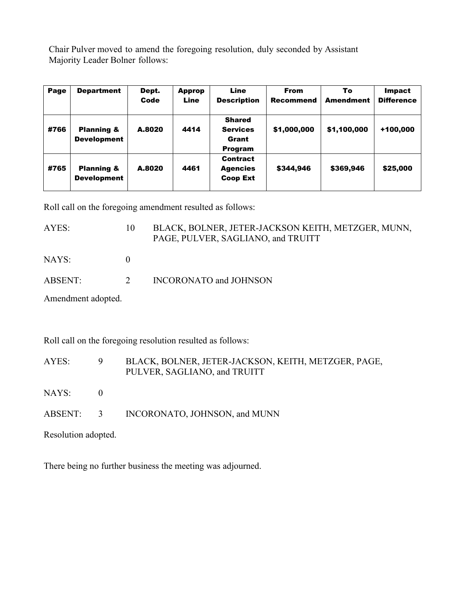Chair Pulver moved to amend the foregoing resolution, duly seconded by Assistant Majority Leader Bolner follows:

| Page | <b>Department</b>                           | Dept.<br>Code | <b>Approp</b><br>Line | Line<br><b>Description</b>                                  | <b>From</b><br><b>Recommend</b> | To<br><b>Amendment</b> | Impact<br><b>Difference</b> |  |
|------|---------------------------------------------|---------------|-----------------------|-------------------------------------------------------------|---------------------------------|------------------------|-----------------------------|--|
| #766 | <b>Planning &amp;</b><br><b>Development</b> | A.8020        | 4414                  | <b>Shared</b><br><b>Services</b><br>Grant<br><b>Program</b> | \$1,000,000                     | \$1,100,000            | +100,000                    |  |
| #765 | <b>Planning &amp;</b><br><b>Development</b> | A.8020        | 4461                  | <b>Contract</b><br><b>Agencies</b><br><b>Coop Ext</b>       | \$344,946                       | \$369,946              | \$25,000                    |  |

Roll call on the foregoing amendment resulted as follows:

| AYES:              | 10       | BLACK, BOLNER, JETER-JACKSON KEITH, METZGER, MUNN,<br>PAGE, PULVER, SAGLIANO, and TRUITT |
|--------------------|----------|------------------------------------------------------------------------------------------|
| NAYS:              | $\theta$ |                                                                                          |
| <b>ABSENT:</b>     | 2        | <b>INCORONATO and JOHNSON</b>                                                            |
| Amendment adopted. |          |                                                                                          |
|                    |          |                                                                                          |

Roll call on the foregoing resolution resulted as follows:

| AYES: | BLACK, BOLNER, JETER-JACKSON, KEITH, METZGER, PAGE, |
|-------|-----------------------------------------------------|
|       | PULVER, SAGLIANO, and TRUITT                        |

- NAYS: 0
- ABSENT: 3 INCORONATO, JOHNSON, and MUNN

Resolution adopted.

There being no further business the meeting was adjourned.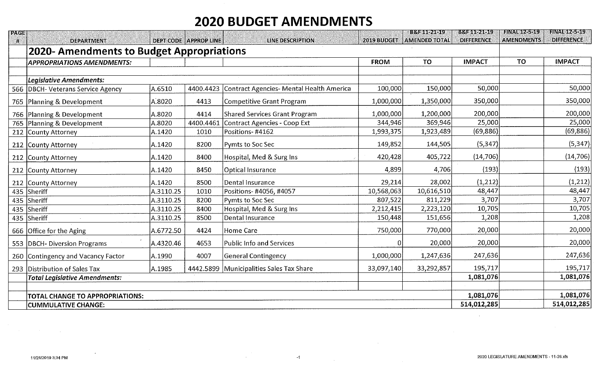# **2020 BUDGET AMENDMENTS**

| <b>PAGE</b> |                                           |           |                              |                                          |             | BM 1154619           | 11:454 624 64 C   | <b>FINAL 12-5-19</b> | HNASPASP          |
|-------------|-------------------------------------------|-----------|------------------------------|------------------------------------------|-------------|----------------------|-------------------|----------------------|-------------------|
| M           | <b>DEPARTMENT</b>                         |           | <b>DEPT CODE APPROP LINE</b> | LINE DESCRIPTION                         | 2019 BUDGET | <b>AMENDED TOTAL</b> | <b>DIFFERENCE</b> | <b>AMENDMENTS</b>    | <b>DIFFERENCE</b> |
|             | 2020- Amendments to Budget Appropriations |           |                              |                                          |             |                      |                   |                      |                   |
|             | <b>APPROPRIATIONS AMENDMENTS:</b>         |           |                              |                                          | <b>FROM</b> | <b>TO</b>            | <b>IMPACT</b>     | <b>TO</b>            | <b>IMPACT</b>     |
|             |                                           |           |                              |                                          |             |                      |                   |                      |                   |
|             | Legislative Amendments:                   |           |                              |                                          |             |                      |                   |                      |                   |
|             | 566 DBCH- Veterans Service Agency         | A.6510    | 4400.4423                    | Contract Agencies- Mental Health America | 100,000     | 150,000              | 50,000            |                      | 50,000            |
|             | 765 Planning & Development                | A.8020    | 4413                         | Competitive Grant Program                | 1,000,000   | 1,350,000            | 350,000           |                      | 350,000           |
|             | 766 Planning & Development                | A.8020    | 4414                         | <b>Shared Services Grant Program</b>     | 1,000,000   | 1,200,000            | 200,000           |                      | 200,000           |
|             | 765 Planning & Development                | A.8020    | 4400.4461                    | Contract Agencies - Coop Ext             | 344,946     | 369,946              | 25,000            |                      | 25,000            |
|             | 212 County Attorney                       | A.1420    | 1010                         | Positions-#4162                          | 1,993,375   | 1,923,489            | (69, 886)         |                      | (69, 886)         |
|             | 212 County Attorney                       | A.1420    | 8200                         | Pymts to Soc Sec                         | 149,852     | 144,505              | (5, 347)          |                      | (5, 347)          |
|             | 212 County Attorney                       | A.1420    | 8400                         | Hospital, Med & Surg Ins                 | 420,428     | 405,722              | (14, 706)         |                      | (14, 706)         |
|             | 212 County Attorney                       | A.1420    | 8450                         | <b>Optical Insurance</b>                 | 4,899       | 4,706                | (193)             |                      | (193)             |
|             | 212 County Attorney                       | A.1420    | 8500                         | Dental Insurance                         | 29,214      | 28,002               | (1, 212)          |                      | (1, 212)          |
| 435         | Sheriff                                   | A.3110.25 | 1010                         | Positions- #4056, #4057                  | 10,568,063  | 10,616,510           | 48,447            |                      | 48,447            |
| 435         | Sheriff                                   | A.3110.25 | 8200                         | Pymts to Soc Sec                         | 807,522     | 811,229              | 3,707             |                      | 3,707             |
| 435         | Sheriff                                   | A.3110.25 | 8400                         | Hospital, Med & Surg Ins                 | 2,212,415   | 2,223,120            | 10,705            |                      | 10,705            |
|             | 435 Sheriff                               | A.3110.25 | 8500                         | Dental Insurance                         | 150,448     | 151,656              | 1,208             |                      | 1,208             |
|             | 666 Office for the Aging                  | A.6772.50 | 4424                         | Home Care                                | 750,000     | 770,000              | 20,000            |                      | 20,000            |
|             | 553   DBCH- Diversion Programs            | A.4320.46 | 4653                         | Public Info and Services                 |             | 20,000               | 20,000            |                      | 20,000            |
|             | 260 Contingency and Vacancy Factor        | A.1990    | 4007                         | <b>General Contingency</b>               | 1,000,000   | 1,247,636            | 247,636           |                      | 247,636           |
|             | 293 Distribution of Sales Tax             | A.1985    |                              | 4442.5899 Municipalities Sales Tax Share | 33,097,140  | 33,292,857           | 195,717           |                      | 195,717           |
|             | Total Legislative Amendments:             |           |                              | 1,081,076                                |             | 1,081,076            |                   |                      |                   |
|             |                                           |           |                              |                                          |             |                      |                   |                      |                   |
|             | TOTAL CHANGE TO APPROPRIATIONS:           |           |                              |                                          |             |                      | 1,081,076         |                      | 1,081,076         |
|             | <b>CUMMULATIVE CHANGE:</b>                |           | 514,012,285                  |                                          | 514,012,285 |                      |                   |                      |                   |

 $-1$